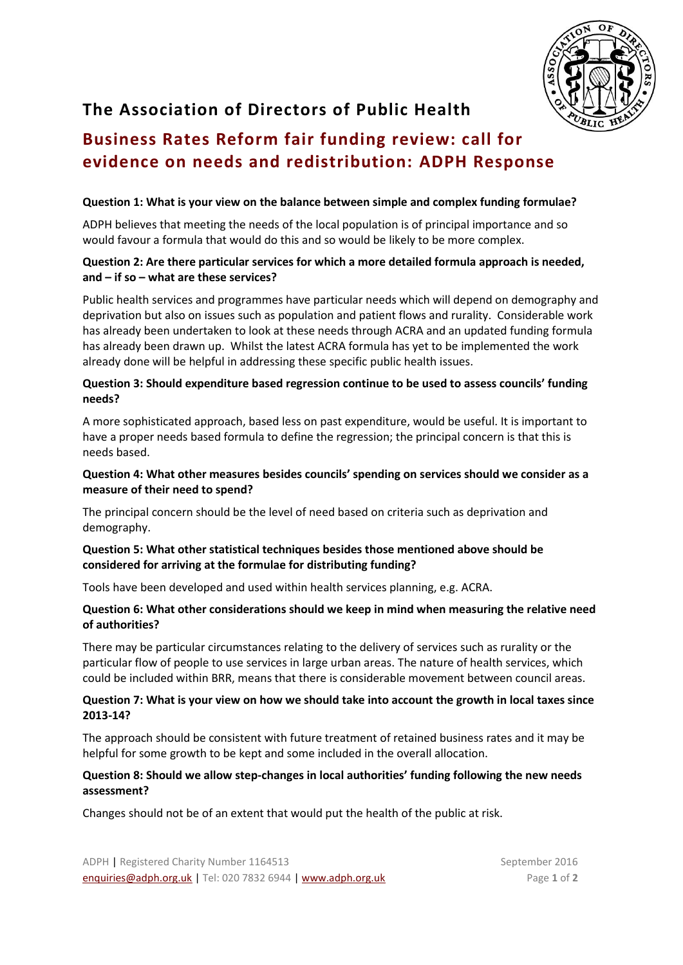

# **The Association of Directors of Public Health**

## **Business Rates Reform fair funding review: call for evidence on needs and redistribution: ADPH Response**

#### **Question 1: What is your view on the balance between simple and complex funding formulae?**

ADPH believes that meeting the needs of the local population is of principal importance and so would favour a formula that would do this and so would be likely to be more complex.

### **Question 2: Are there particular services for which a more detailed formula approach is needed, and – if so – what are these services?**

Public health services and programmes have particular needs which will depend on demography and deprivation but also on issues such as population and patient flows and rurality. Considerable work has already been undertaken to look at these needs through ACRA and an updated funding formula has already been drawn up. Whilst the latest ACRA formula has yet to be implemented the work already done will be helpful in addressing these specific public health issues.

## **Question 3: Should expenditure based regression continue to be used to assess councils' funding needs?**

A more sophisticated approach, based less on past expenditure, would be useful. It is important to have a proper needs based formula to define the regression; the principal concern is that this is needs based.

## **Question 4: What other measures besides councils' spending on services should we consider as a measure of their need to spend?**

The principal concern should be the level of need based on criteria such as deprivation and demography.

### **Question 5: What other statistical techniques besides those mentioned above should be considered for arriving at the formulae for distributing funding?**

Tools have been developed and used within health services planning, e.g. ACRA.

### **Question 6: What other considerations should we keep in mind when measuring the relative need of authorities?**

There may be particular circumstances relating to the delivery of services such as rurality or the particular flow of people to use services in large urban areas. The nature of health services, which could be included within BRR, means that there is considerable movement between council areas.

### **Question 7: What is your view on how we should take into account the growth in local taxes since 2013-14?**

The approach should be consistent with future treatment of retained business rates and it may be helpful for some growth to be kept and some included in the overall allocation.

### **Question 8: Should we allow step-changes in local authorities' funding following the new needs assessment?**

Changes should not be of an extent that would put the health of the public at risk.